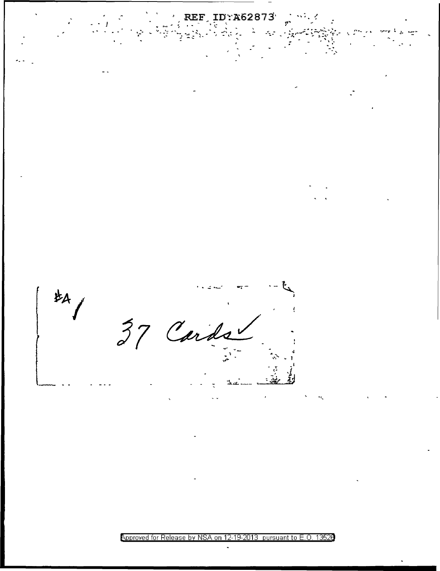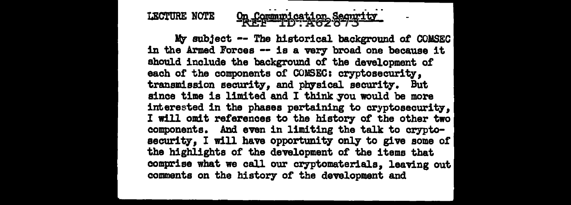#### On Communication Security LECTURE NOTE

My subject -- The historical background of COMSEC in the Armed Forces -- is a very broad one because it should include the background of the development of each of the components of COMSEC: cryptosecurity. transmission security, and physical security. But since time is limited and I think you would be more interested in the phases pertaining to cryptosecurity, I will omit references to the history or the other two components. And even in limiting the talk to cryptosecurity, I will have opportunity only to give some of the highlights of the development or the items that comprise what we call our cryptomaterials, leaving out comments on the history of the development and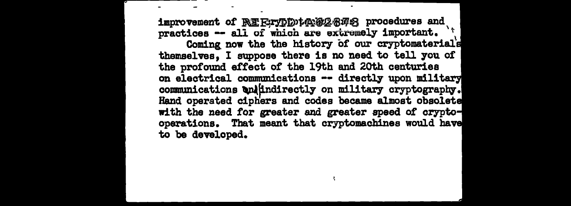improvement of REFTYDDtAN&2878 procedures and practices -- all of which are extremely important. Coming now the the history of our cryptomaterial's themselves, I suppose there is no need to tell 7ou of' the profound effect of the 19th and 20th centuries on electrical communications -- directly upon military communications whindirectly on military cryptography. Hand operated ciphers and codes became almost obsolete with the need for greater and greater speed of cryptooperations. That meant that cryptomachines would have to be developed.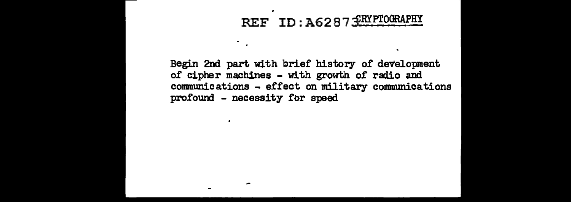# REF ID: A6287 SRYPTOGRAPHY

Begin 2nd part with brief history 0£ development 0£ cipher machines - with growth 0£ radio and communications - e££ect on military communications profound - necessity £or speed

۰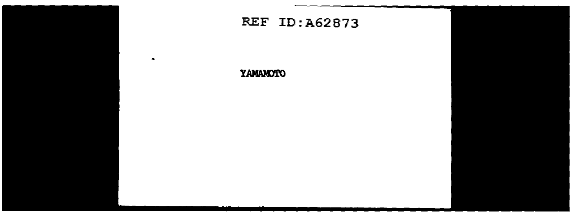

YAMAMOTO

 $\bullet$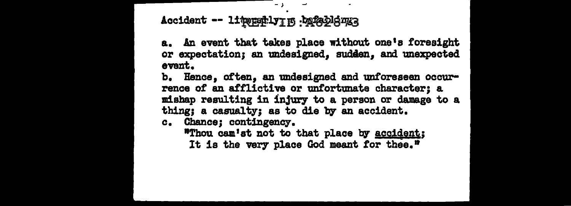### Accident -- lipepply m .bafeblemg

a. An event that takes place without one's foresight or expectation; an undesigned, sudden, and unexpected event.

b. Hence, often, an undesigned and unforeseen occurrence of an afflictive or unfortunate character; a mishap resulting in injury to a person or damage to a thing; a casualty; as to die by an accident.

c. Chance: contingency.

"Thou cam'st not to that place by accident; It is the very place God meant for thee."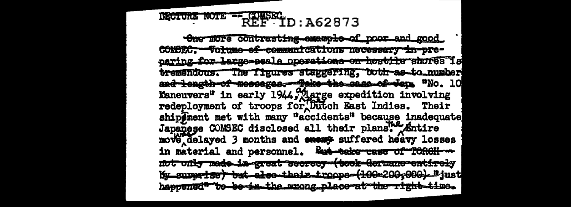# DECTURE NOTE - CONSECTID: A62873

One more contrasting example of noor and good COMSEC. Volume-ef-communications necessary in-preparing for large-seals operations on heatily shores is tremendous. The figures staggering, both-as-to number and length of messages. Take the sase of tens "No. 10 Maneuvers" in early 1944, Augge expedition involving<br>redeployment of troops for Dutch East Indies. Their<br>ship@ment met with many "accidents" because inadequate Japanese COMSEC disclosed all their plans Antire move delayed 3 months and energ suffered heavy losses in material and personnel. But take case of TORCH-... not only made in great secrecy (took Germans entirely by superise but also their troops (100-200;000). "just haspened\*\*\*be-se-in-the wrong place-at-the-right-time.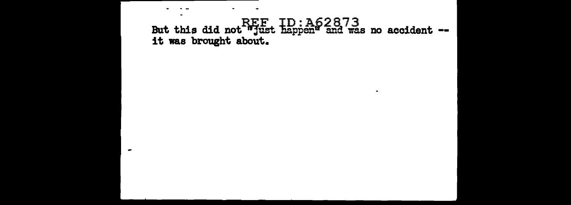# REF ID: A62873<br>But this did not "just happen" and was no accident --<br>it was brought about.

 $\overline{\phantom{a}}$ 

 $\blacksquare$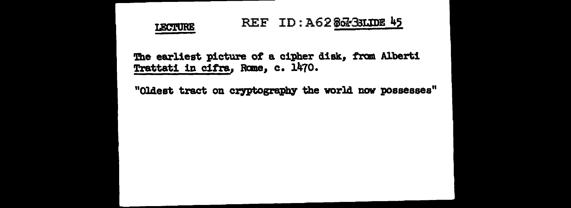

The earliest picture of a cipher disk, from Alberti Trattati in cifra, Rome, c. 1470.

"Oldest tract on cryptography the world now possesses"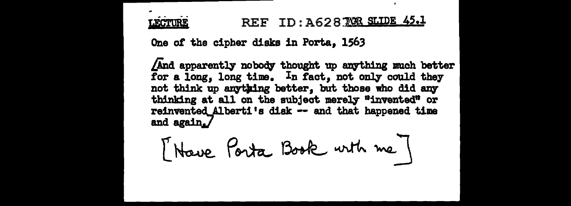REF ID: A62870R SLIDE 45.1 **LECTURE** 

One of the cipher disks in Porta, 1563

And apparently nobody thought up anything much better for a long, long time. In fact, not only could they not think up anything better, but those who did any thinking at all on the subject merely "invented" or reinvented Alberti's disk -- and that happened time and again $J$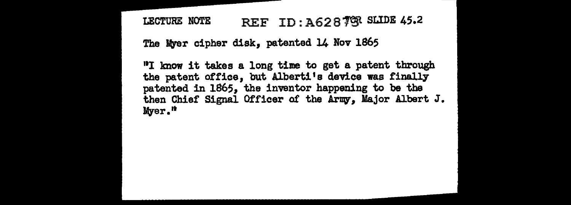LECTURE NOTE REF ID: A628 79R SLIDE 45.2

The Myer cipher disk, patented 14 Nov 1865

"I know it takes a long time to get a patent through the patent office, but Alberti's device was finally patented in 1865, the inventor happening to be the then Chief Signal Officer of the Army, Major Albert J. Myer."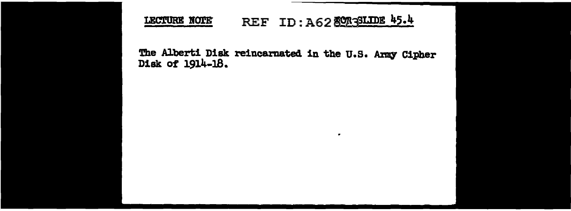#### REF ID: A62 80735LIDE 45.4 LECTURE NOTE

The Alberti Disk reincarnated in the U.S. Army Cipher Disk of 1914-18.

 $\bullet$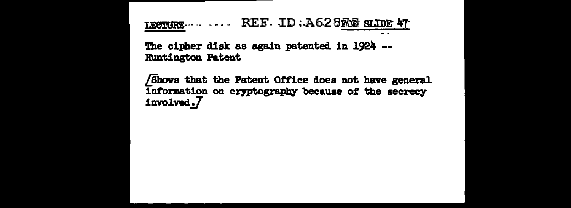LECTURE ..... REF. ID: A628ROS SLIDE 47

The cipher disk as again patented in 1924 --**Runtington Patent** 

Shows that the Patent Office does not have general information on cryptography because of the secrecy involved.7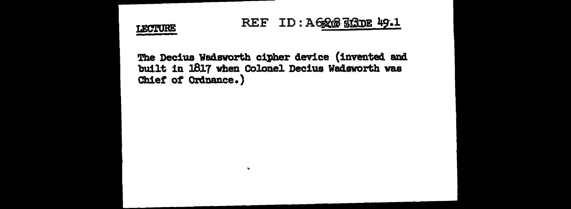

### REF ID: A6268 363DE 49.1

The Decius Wadsworth cipher device (invented and built in 1817 when Colonel Decius Wadsworth was Chief of Ordnance.)

 $\mathbf{v}_\mathrm{c}$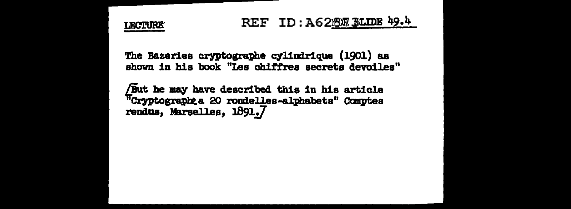The Bazeries cryptographe cylindrique (1901) as shown in his book "Les chiffres secrets devoiles"

But he may have described this in his article "Cryptograph a 20 rondelles-alphabets" Comptes rendus, Marselles, 1891.7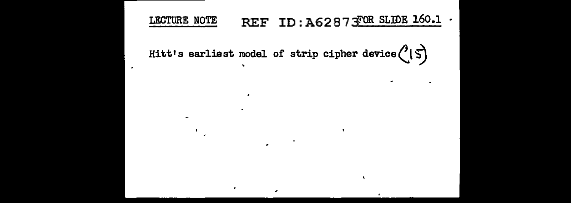#### REF ID: A6287 FOR SLIDE 160.1 . LECTURE NOTE

 $\mathbf{v}$ 

Hitt's earliest model of strip cipher device  $(15)$ 

 $\blacksquare$ 

 $\sim$ 

 $\overline{\phantom{a}}$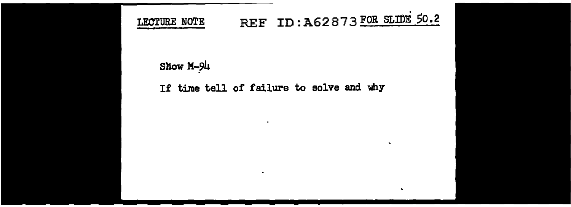

# REF ID: A62873 FOR SLIDE 50.2

 $\mathbf{v}$ 

 $\bullet$ 

### Show M-94

### If time tell of failure to solve and why

 $\blacksquare$ 

 $\bullet$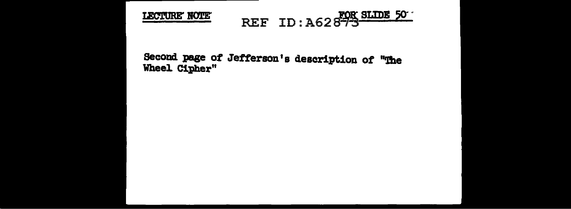#### **ROK SLIDE 50** LECTURE NOTE

Second page of Jefferson's description of "The Wheel. Cipher"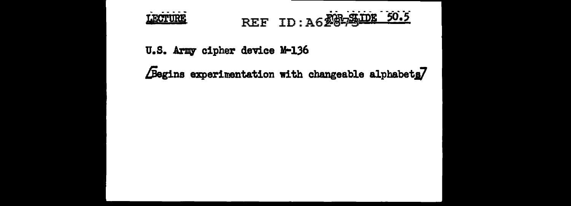

REF ID: A628-SUDE 50.5

U.S. Army cipher device M-136

Begins experimentation with changeable alphabets7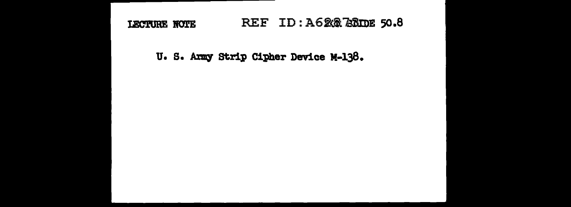#### REF ID: A620 23DE 50.8 LECTURE NOTE

U. S. Army Strip Cipher Device M-138.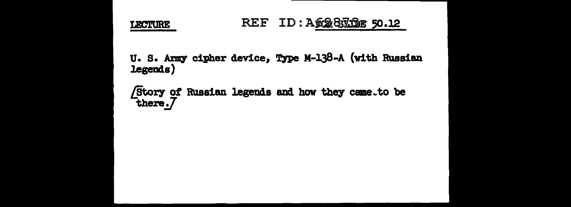

U. S. Army cipher device, Type M-138-A (with Russian legends)

Story of Russian legends and how they came to be there.7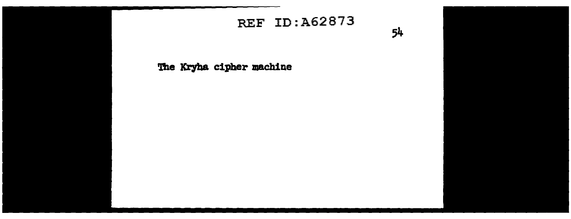# REF ID: A62873

54

The Kryha cipher machine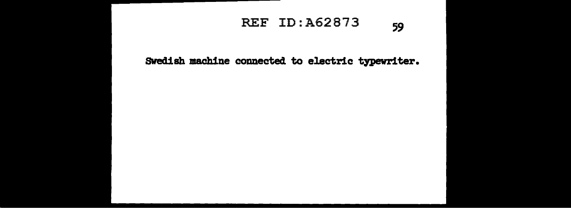### REF ID:A62873 59

**SWedish machine connected to electric typewriter.**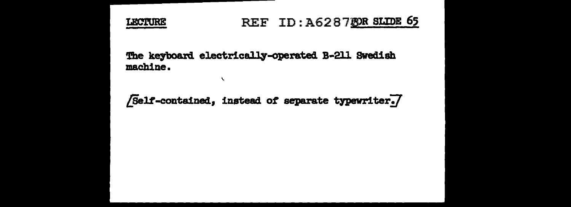

### REF ID: A6287BOR SLIDE 65

The keyboard electrically-operated B-211 Swedish machine.

 $\mathbf{r}$ 

/Self-contained, instead of separate typewriter./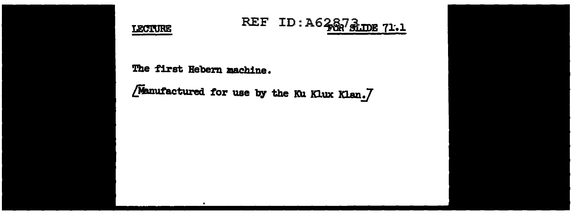

# REF ID: A6287 SLIDE 71.1

The first Hebern machine.

[Manufactured for use by the Ku Klux Klan.]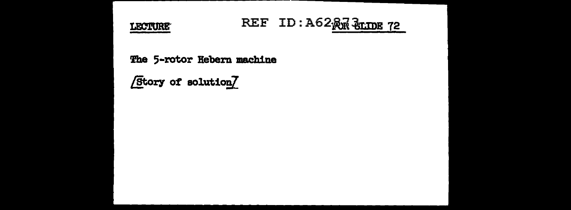

# REF ID: A62 RM SLIDE 72

The 5-rotor Hebern machine

**Etory of solution**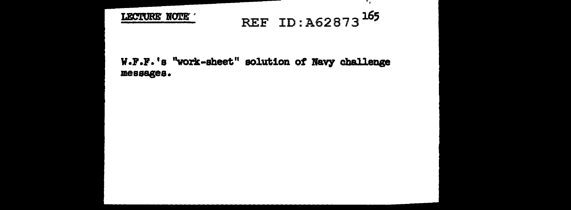

# REF ID: A62873<sup>165</sup>

۰.

#### W.F.F.'s "work-sheet" solution of Navy challenge messages.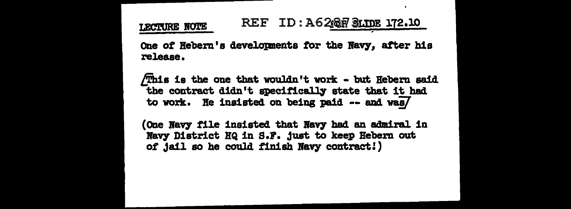#### REF ID: A6267 SLIDE 172.10 **LECTURE NOTE**

One of Hebern's developments for the Navy, after his release.

/jhis is the one that wouldn't work - but Hebern &aid the contract didn't specifically state that it had to work. He insisted on being paid  $-$  and was/

(One Navy file insisted that Navy had an admiral in Navy District HQ in S.F. just to keep Hebern out of jail so he could finish Navy contract!)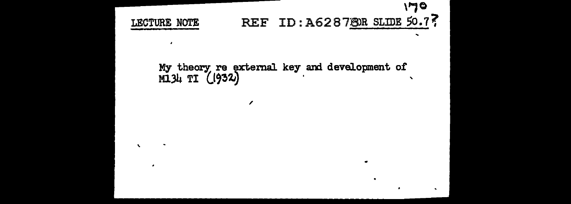,.,o REF ID: A628780R SLIDE 50.77 LECTURE NOTE  $\overline{\phantom{a}}$ 

My theory: re external key and development of  $M13\mu$  TI  $(1932)$ 

 $\mathbf{v}$ 

,

 $\blacksquare$ 

 $\bullet$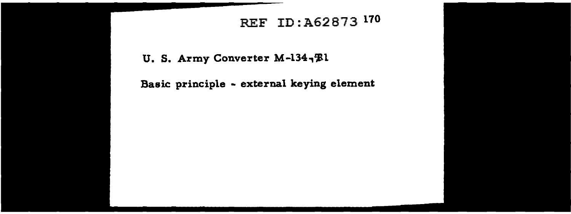## REF ID :A62873 170

U. S. Army Converter M-134, Bl

Basic principle - external keying element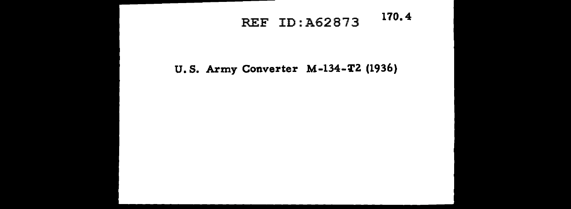# REF ID:A62873 170.4

### U.S. Army Converter M-134-T2 (1936)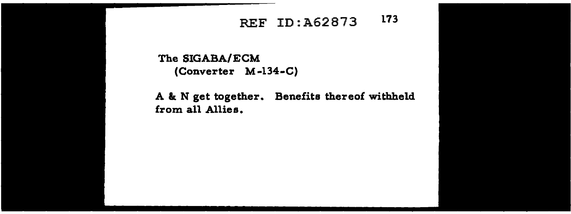# REF ID :A62873 173

The SIGABA/ECM (Converter M-134-C)

A & N get together. Benefits thereof withheld from all Allies.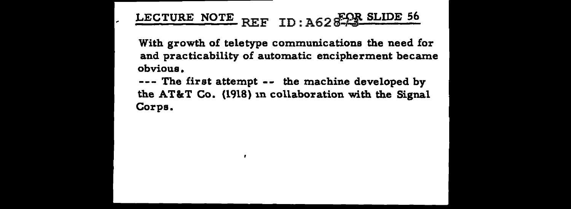# LECTURE NOTE REF ID: A62 <sup>850</sup> SLIDE 56

With growth of teletype communications the need for and practicability of automatic encipherment became obvious.

--- The first attempt -- the machine developed by the AT&T Co. {1918) 1n collaboration with the Signal Corps.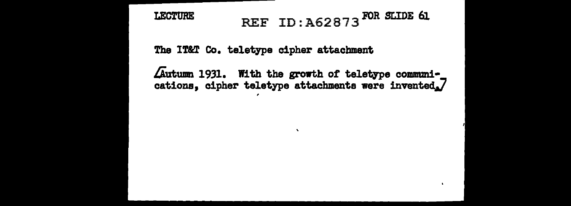### REF ID: A62873<sup>FOR SLIDE</sup> 61 **LECTURE**

The IT&T Co. teletype cipher attachment

Autumn 1931. With the growth of teletype communications, cipher teletype attachments were invented.7

 $\bullet$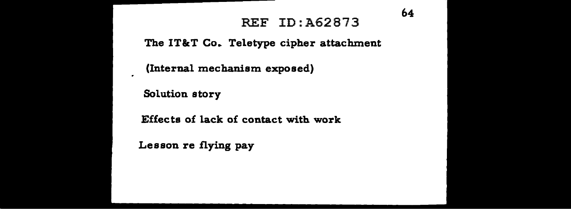### REF ID:A62873

64

The IT&T Co. Teletype cipher attachment

(Internal mechanism exposed)

Solution story

Effects of lack of contact with work

Lesson re flying pay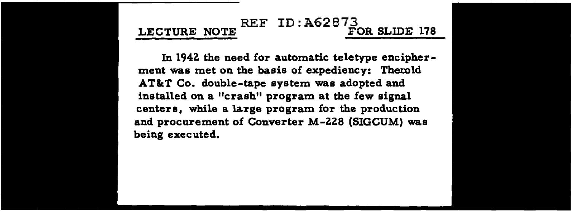### REF ID:  $A6287<sub>3</sub><sup>3</sup>$  FOR SLIDE 178 LECTURE NOTE

In 194Z the need for automatic teletype encipherment was met on the basis of expediency: Therold AT&T Co. double-tape system was adopted and installed on a "crash" program at the few signal centers, while a large program for the production and procurement of Converter M-ZZ8 (SIGCUM) was being executed.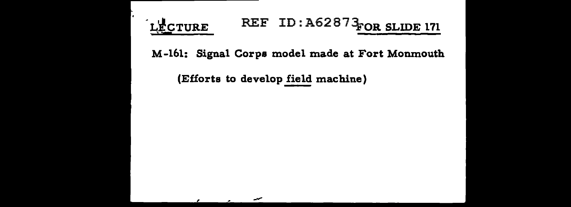# LECTURE REF ID: A62873 FOR SLIDE 171

M-161: Signal Corps model made at Fort Monmouth

(Efforts to develop field machine)

-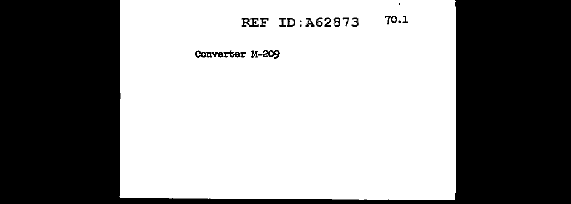### REF ID: A62873 **70.1**

 $\bullet$ 

**Converter M-209**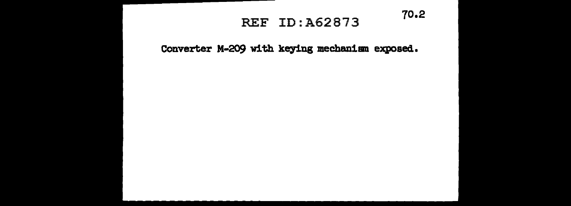# REF ID:A62873 70.2

Converter M-209 with keying mechanism exposed.